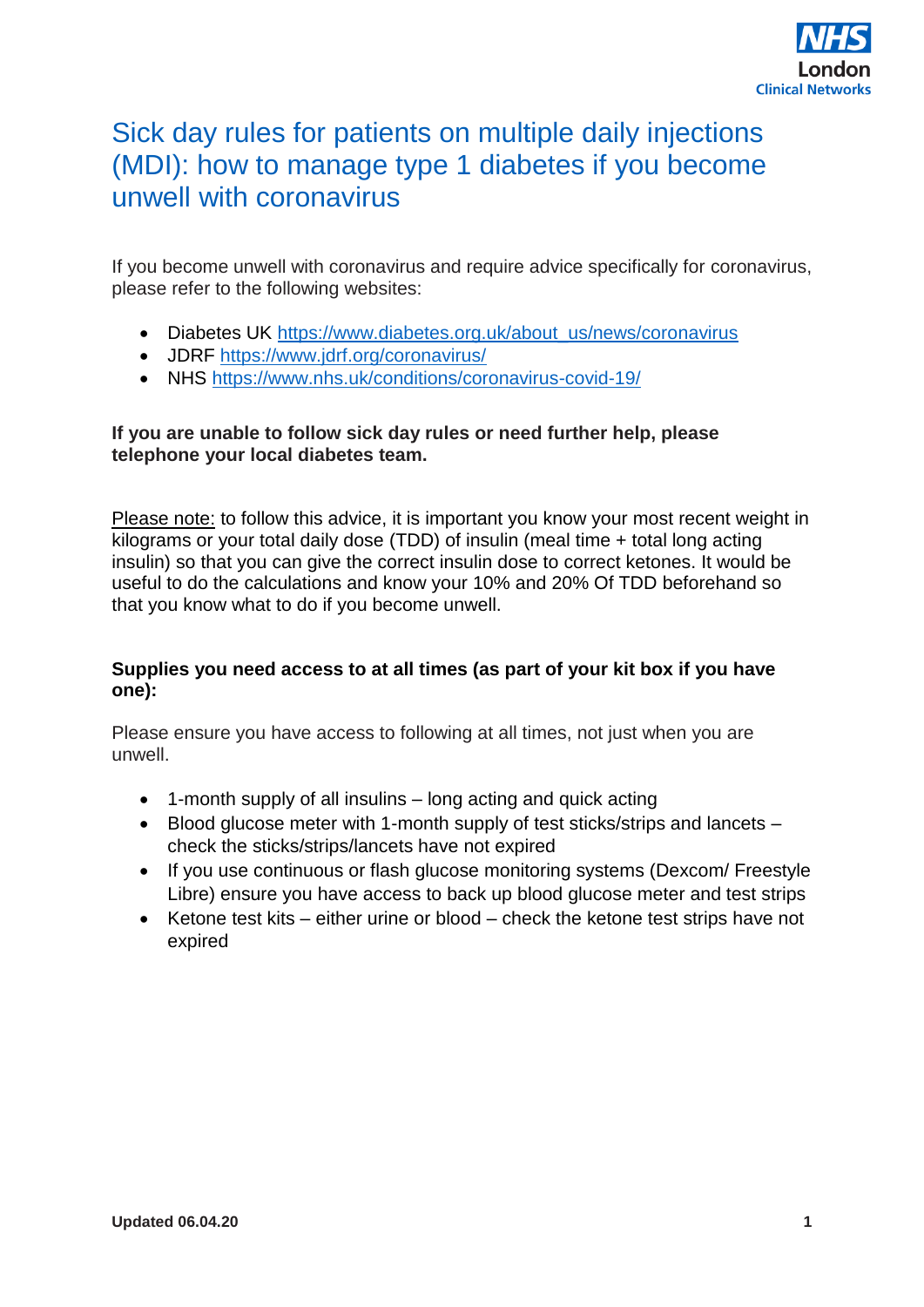

## Sick day rules for patients on multiple daily injections (MDI): how to manage type 1 diabetes if you become unwell with coronavirus

If you become unwell with coronavirus and require advice specifically for coronavirus, please refer to the following websites:

- Diabetes UK [https://www.diabetes.org.uk/about\\_us/news/coronavirus](https://www.diabetes.org.uk/about_us/news/coronavirus)
- JDRF<https://www.jdrf.org/coronavirus/>
- NHS<https://www.nhs.uk/conditions/coronavirus-covid-19/>

#### **If you are unable to follow sick day rules or need further help, please telephone your local diabetes team.**

Please note: to follow this advice, it is important you know your most recent weight in kilograms or your total daily dose (TDD) of insulin (meal time + total long acting insulin) so that you can give the correct insulin dose to correct ketones. It would be useful to do the calculations and know your 10% and 20% Of TDD beforehand so that you know what to do if you become unwell.

#### **Supplies you need access to at all times (as part of your kit box if you have one):**

Please ensure you have access to following at all times, not just when you are unwell.

- 1-month supply of all insulins long acting and quick acting
- Blood glucose meter with 1-month supply of test sticks/strips and lancets check the sticks/strips/lancets have not expired
- If you use continuous or flash glucose monitoring systems (Dexcom/ Freestyle Libre) ensure you have access to back up blood glucose meter and test strips
- Ketone test kits either urine or blood check the ketone test strips have not expired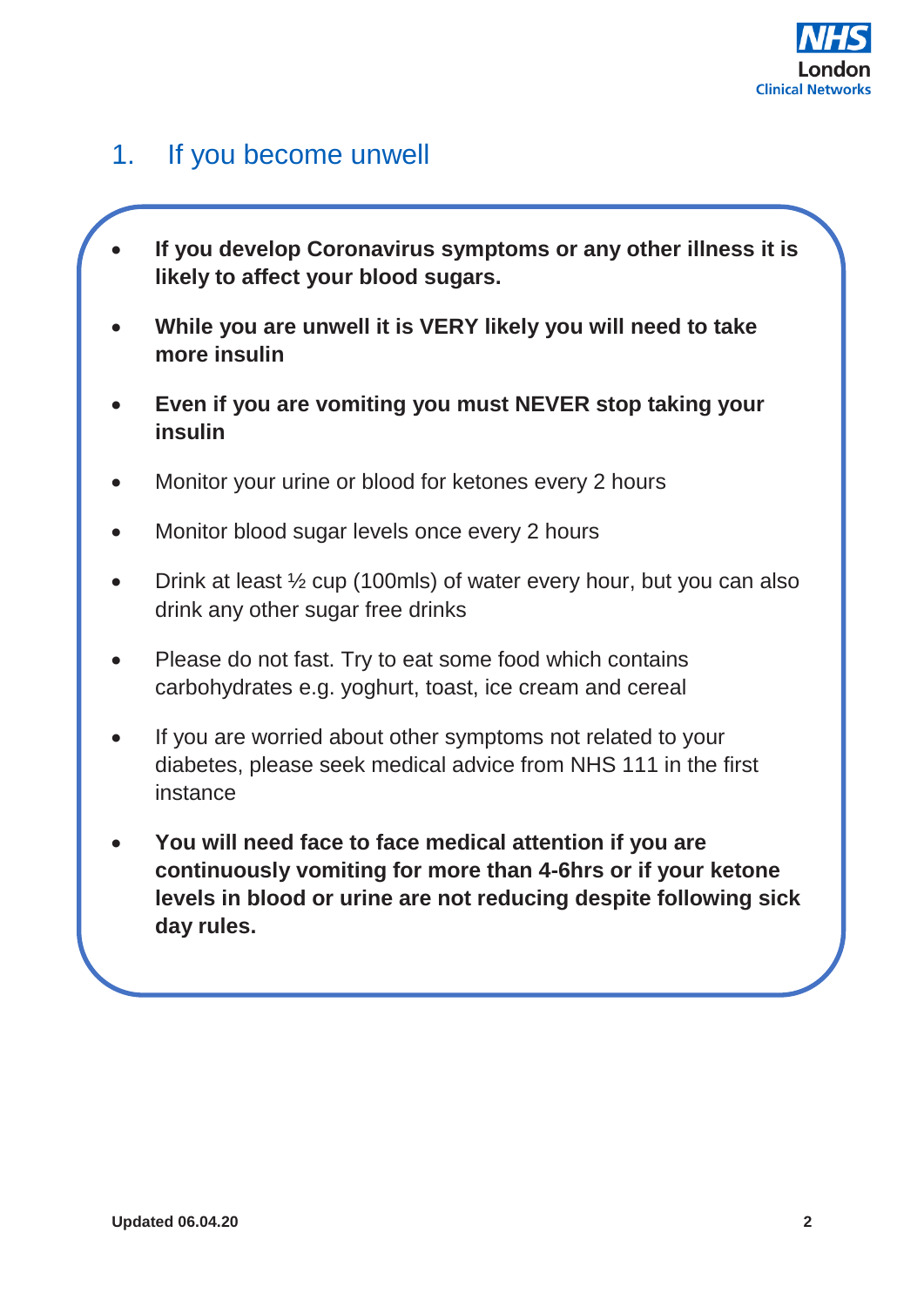

## 1. If you become unwell

- **If you develop Coronavirus symptoms or any other illness it is likely to affect your blood sugars.**
- **While you are unwell it is VERY likely you will need to take more insulin**
- **Even if you are vomiting you must NEVER stop taking your insulin**
- Monitor your urine or blood for ketones every 2 hours
- Monitor blood sugar levels once every 2 hours
- Drink at least ½ cup (100mls) of water every hour, but you can also drink any other sugar free drinks
- Please do not fast. Try to eat some food which contains carbohydrates e.g. yoghurt, toast, ice cream and cereal
- If you are worried about other symptoms not related to your diabetes, please seek medical advice from NHS 111 in the first instance
- **You will need face to face medical attention if you are continuously vomiting for more than 4-6hrs or if your ketone levels in blood or urine are not reducing despite following sick day rules.**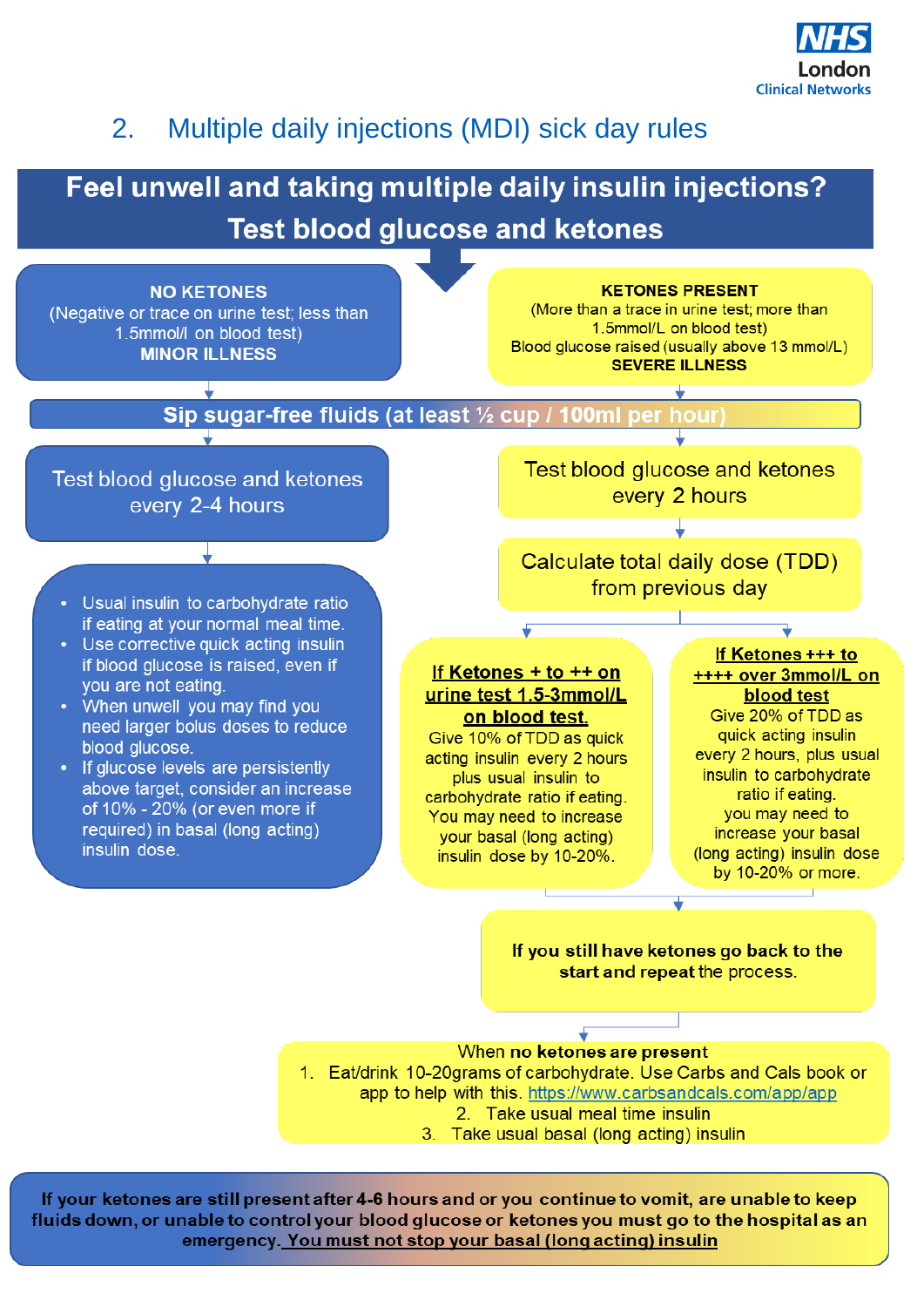

## 2. Multiple daily injections (MDI) sick day rules

# Feel unwell and taking multiple daily insulin injections? **Test blood glucose and ketones**



If your ketones are still present after 4-6 hours and or you continue to vomit, are unable to keep fluids down, or unable to control your blood glucose or ketones you must go to the hospital as an<br>emergency. You must not stop your basal (long acting) insulin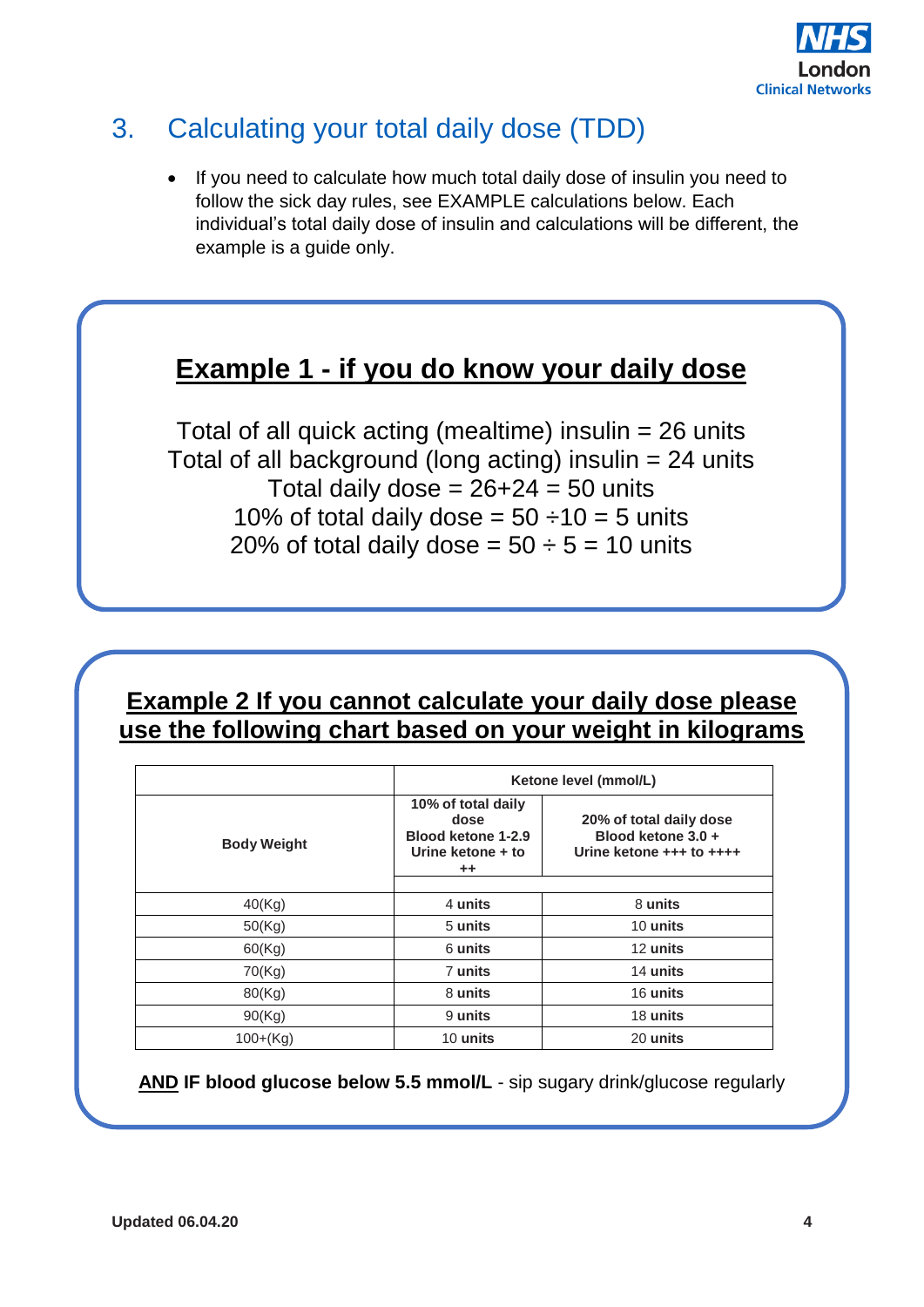

## 3. Calculating your total daily dose (TDD)

If you need to calculate how much total daily dose of insulin you need to follow the sick day rules, see EXAMPLE calculations below. Each individual's total daily dose of insulin and calculations will be different, the example is a guide only.

## **Example 1 - if you do know your daily dose**

Total of all quick acting (mealtime) insulin = 26 units Total of all background (long acting) insulin = 24 units Total daily dose =  $26+24 = 50$  units 10% of total daily dose =  $50 \div 10 = 5$  units 20% of total daily dose =  $50 \div 5 = 10$  units

### **Example 2 If you cannot calculate your daily dose please use the following chart based on your weight in kilograms**

|                    |                                                                                         | Ketone level (mmol/L)                                                     |  |
|--------------------|-----------------------------------------------------------------------------------------|---------------------------------------------------------------------------|--|
| <b>Body Weight</b> | 10% of total daily<br>dose<br>Blood ketone 1-2.9<br>Urine ketone + to<br>$^{\tiny{++}}$ | 20% of total daily dose<br>Blood ketone 3.0 +<br>Urine ketone +++ to ++++ |  |
| 40(Kg)             | 4 units                                                                                 | 8 units                                                                   |  |
| 50(Kg)             | 5 units                                                                                 | 10 units                                                                  |  |
| 60(Kg)             | 6 units                                                                                 | 12 units                                                                  |  |
| 70(Kg)             | 7 units                                                                                 | 14 units                                                                  |  |
| 80(Kg)             | 8 units                                                                                 | 16 units                                                                  |  |
| 90(Kg)             | 9 units                                                                                 | 18 units                                                                  |  |
| $100+(Kg)$         | 10 units                                                                                | 20 units                                                                  |  |

**AND IF blood glucose below 5.5 mmol/L** - sip sugary drink/glucose regularly